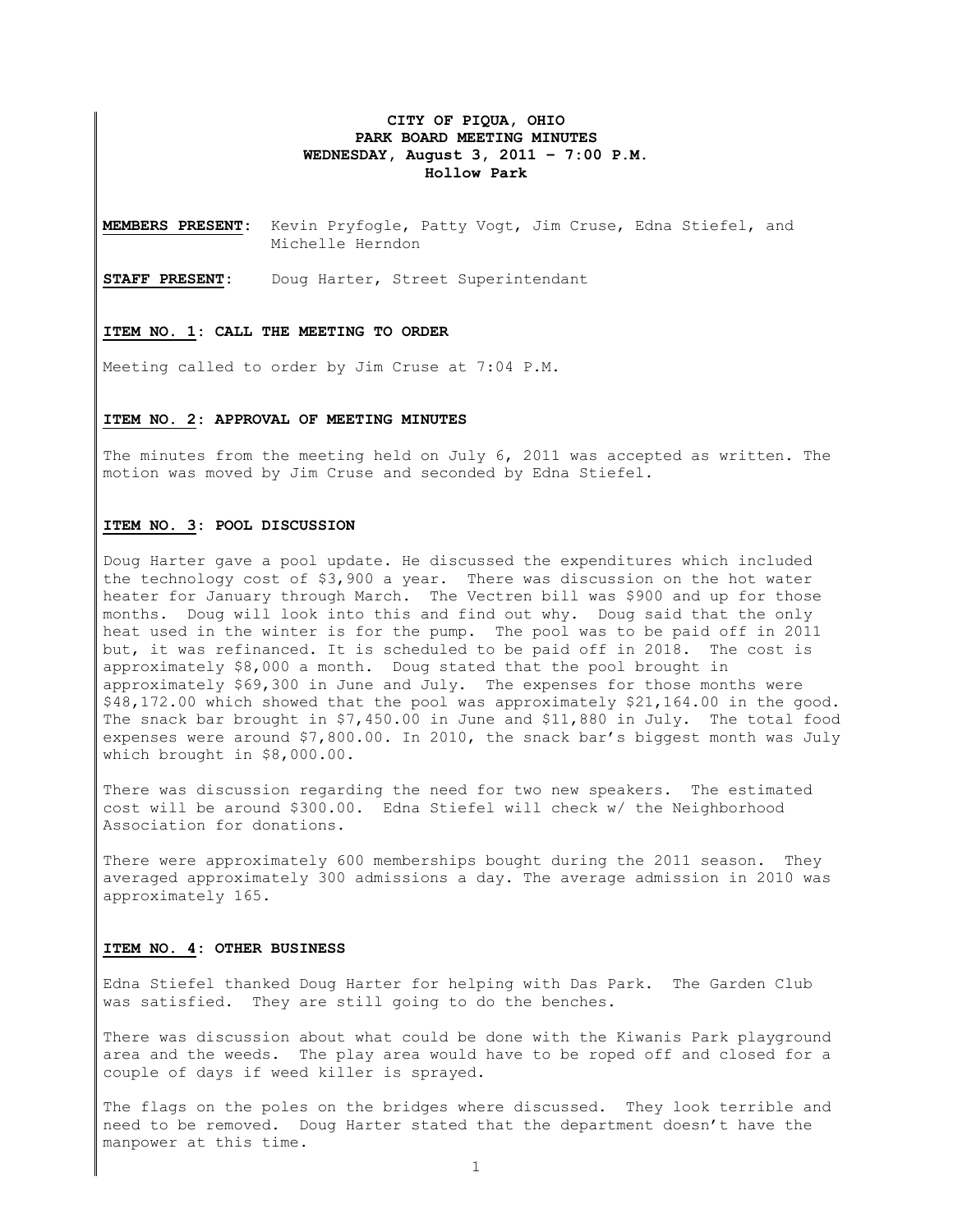### **CITY OF PIQUA, OHIO PARK BOARD MEETING MINUTES WEDNESDAY, August 3, 2011 – 7:00 P.M. Hollow Park**

**MEMBERS PRESENT:** Kevin Pryfogle, Patty Vogt, Jim Cruse, Edna Stiefel, and Michelle Herndon

**STAFF PRESENT:** Doug Harter, Street Superintendant

#### **ITEM NO. 1: CALL THE MEETING TO ORDER**

Meeting called to order by Jim Cruse at 7:04 P.M.

# **ITEM NO. 2: APPROVAL OF MEETING MINUTES**

The minutes from the meeting held on July 6, 2011 was accepted as written. The motion was moved by Jim Cruse and seconded by Edna Stiefel.

#### **ITEM NO. 3: POOL DISCUSSION**

Doug Harter gave a pool update. He discussed the expenditures which included the technology cost of \$3,900 a year. There was discussion on the hot water heater for January through March. The Vectren bill was \$900 and up for those months. Doug will look into this and find out why. Doug said that the only heat used in the winter is for the pump. The pool was to be paid off in 2011 but, it was refinanced. It is scheduled to be paid off in 2018. The cost is approximately \$8,000 a month. Doug stated that the pool brought in approximately \$69,300 in June and July. The expenses for those months were \$48,172.00 which showed that the pool was approximately \$21,164.00 in the good. The snack bar brought in \$7,450.00 in June and \$11,880 in July. The total food expenses were around \$7,800.00. In 2010, the snack bar's biggest month was July which brought in \$8,000.00.

There was discussion regarding the need for two new speakers. The estimated cost will be around \$300.00. Edna Stiefel will check w/ the Neighborhood Association for donations.

There were approximately 600 memberships bought during the 2011 season. They averaged approximately 300 admissions a day. The average admission in 2010 was approximately 165.

#### **ITEM NO. 4: OTHER BUSINESS**

Edna Stiefel thanked Doug Harter for helping with Das Park. The Garden Club was satisfied. They are still going to do the benches.

There was discussion about what could be done with the Kiwanis Park playground area and the weeds. The play area would have to be roped off and closed for a couple of days if weed killer is sprayed.

The flags on the poles on the bridges where discussed. They look terrible and need to be removed. Doug Harter stated that the department doesn't have the manpower at this time.